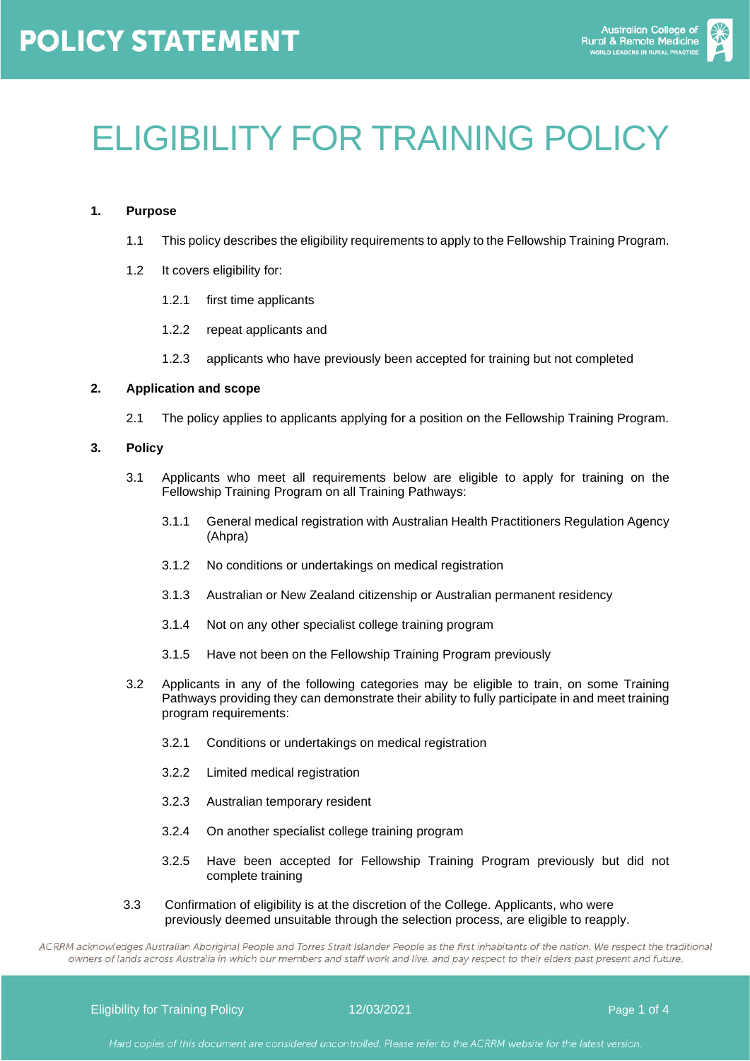

# ELIGIBILITY FOR TRAINING POLICY

#### **1. Purpose**

- 1.1 This policy describes the eligibility requirements to apply to the Fellowship Training Program.
- 1.2 It covers eligibility for:
	- 1.2.1 first time applicants
	- 1.2.2 repeat applicants and
	- 1.2.3 applicants who have previously been accepted for training but not completed

#### **2. Application and scope**

2.1 The policy applies to applicants applying for a position on the Fellowship Training Program.

#### **3. Policy**

- 3.1 Applicants who meet all requirements below are eligible to apply for training on the Fellowship Training Program on all Training Pathways:
	- 3.1.1 General medical registration with Australian Health Practitioners Regulation Agency (Ahpra)
	- 3.1.2 No conditions or undertakings on medical registration
	- 3.1.3 Australian or New Zealand citizenship or Australian permanent residency
	- 3.1.4 Not on any other specialist college training program
	- 3.1.5 Have not been on the Fellowship Training Program previously
- 3.2 Applicants in any of the following categories may be eligible to train, on some Training Pathways providing they can demonstrate their ability to fully participate in and meet training program requirements:
	- 3.2.1 Conditions or undertakings on medical registration
	- 3.2.2 Limited medical registration
	- 3.2.3 Australian temporary resident
	- 3.2.4 On another specialist college training program
	- 3.2.5 Have been accepted for Fellowship Training Program previously but did not complete training
- 3.3 Confirmation of eligibility is at the discretion of the College. Applicants, who were previously deemed unsuitable through the selection process, are eligible to reapply.

ACRRM acknowledges Australian Aboriginal People and Torres Strait Islander People as the first inhabitants of the nation. We respect the traditional owners of lands across Australia in which our members and staff work and live, and pay respect to their elders past present and future.

Eligibility for Training Policy **12/03/2021 Page 1 of 4** and 12/03/2021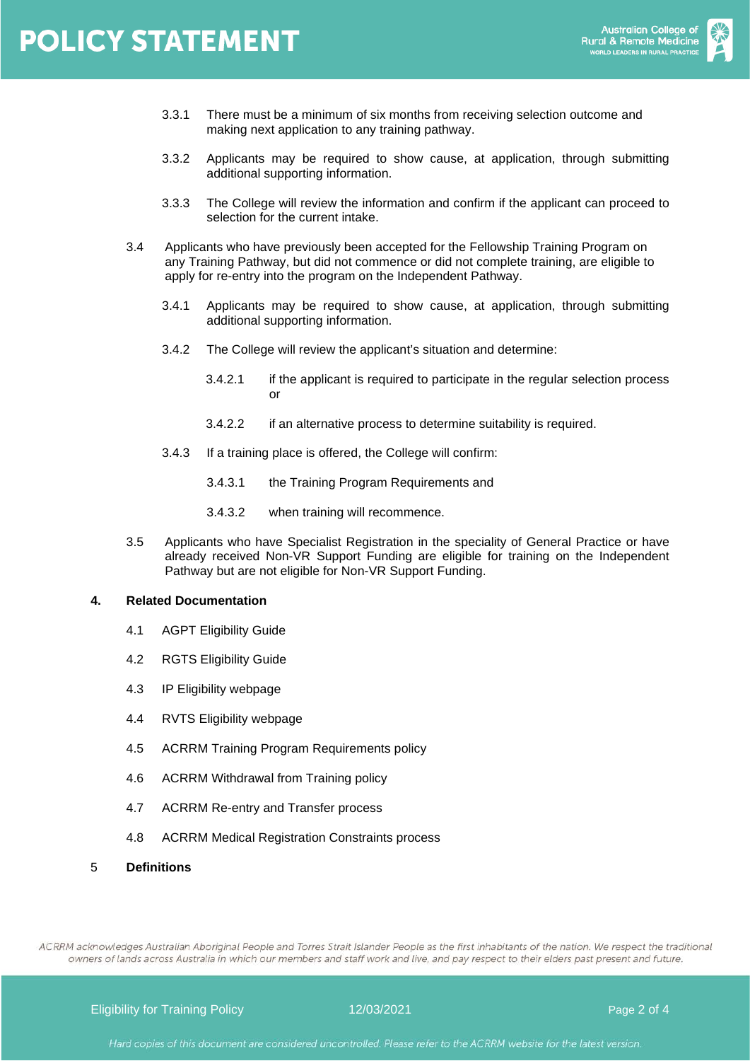- 3.3.1 There must be a minimum of six months from receiving selection outcome and making next application to any training pathway.
- 3.3.2 Applicants may be required to show cause, at application, through submitting additional supporting information.
- 3.3.3 The College will review the information and confirm if the applicant can proceed to selection for the current intake.
- 3.4 Applicants who have previously been accepted for the Fellowship Training Program on any Training Pathway, but did not commence or did not complete training, are eligible to apply for re-entry into the program on the Independent Pathway.
	- 3.4.1 Applicants may be required to show cause, at application, through submitting additional supporting information.
	- 3.4.2 The College will review the applicant's situation and determine:
		- 3.4.2.1 if the applicant is required to participate in the regular selection process or
		- 3.4.2.2 if an alternative process to determine suitability is required.
	- 3.4.3 If a training place is offered, the College will confirm:
		- 3.4.3.1 the Training Program Requirements and
		- 3.4.3.2 when training will recommence.
- 3.5 Applicants who have Specialist Registration in the speciality of General Practice or have already received Non-VR Support Funding are eligible for training on the Independent Pathway but are not eligible for Non-VR Support Funding.

#### **4. Related Documentation**

- 4.1 AGPT Eligibility Guide
- 4.2 RGTS Eligibility Guide
- 4.3 IP Eligibility webpage
- 4.4 RVTS Eligibility webpage
- 4.5 ACRRM Training Program Requirements policy
- 4.6 ACRRM Withdrawal from Training policy
- 4.7 ACRRM Re-entry and Transfer process
- 4.8 ACRRM Medical Registration Constraints process
- 5 **Definitions**

ACRRM acknowledges Australian Aboriginal People and Torres Strait Islander People as the first inhabitants of the nation. We respect the traditional owners of lands across Australia in which our members and staff work and live, and pay respect to their elders past present and future.

Eligibility for Training Policy **12/03/2021 Page 2 of 4** and 12/03/2021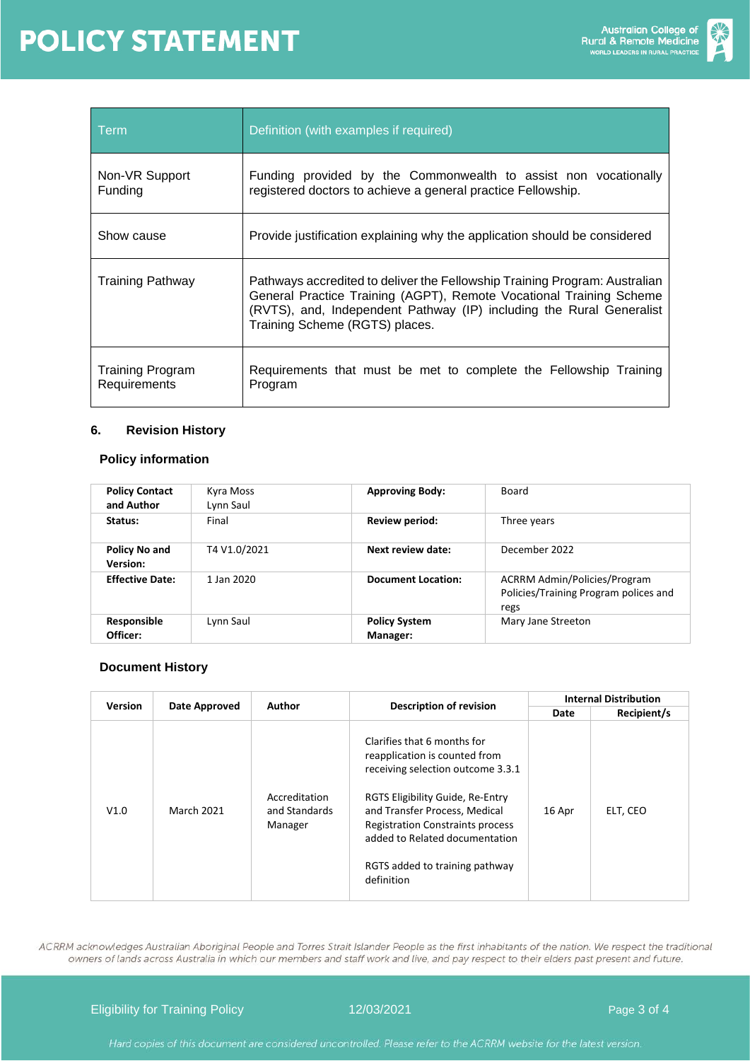

| Term                                    | Definition (with examples if required)                                                                                                                                                                                                                      |  |  |
|-----------------------------------------|-------------------------------------------------------------------------------------------------------------------------------------------------------------------------------------------------------------------------------------------------------------|--|--|
| Non-VR Support<br><b>Funding</b>        | Funding provided by the Commonwealth to assist non vocationally<br>registered doctors to achieve a general practice Fellowship.                                                                                                                             |  |  |
| Show cause                              | Provide justification explaining why the application should be considered                                                                                                                                                                                   |  |  |
| <b>Training Pathway</b>                 | Pathways accredited to deliver the Fellowship Training Program: Australian<br>General Practice Training (AGPT), Remote Vocational Training Scheme<br>(RVTS), and, Independent Pathway (IP) including the Rural Generalist<br>Training Scheme (RGTS) places. |  |  |
| <b>Training Program</b><br>Requirements | Requirements that must be met to complete the Fellowship Training<br>Program                                                                                                                                                                                |  |  |

### **6. Revision History**

### **Policy information**

| <b>Policy Contact</b><br>and Author     | Kyra Moss<br>Lynn Saul | <b>Approving Body:</b>           | Board                                                                                |  |
|-----------------------------------------|------------------------|----------------------------------|--------------------------------------------------------------------------------------|--|
| Status:                                 | Final                  | Review period:                   | Three years                                                                          |  |
| <b>Policy No and</b><br><b>Version:</b> | T4 V1.0/2021           | Next review date:                | December 2022                                                                        |  |
| <b>Effective Date:</b>                  | 1 Jan 2020             | <b>Document Location:</b>        | <b>ACRRM Admin/Policies/Program</b><br>Policies/Training Program polices and<br>regs |  |
| Responsible<br>Officer:                 | Lynn Saul              | <b>Policy System</b><br>Manager: | Mary Jane Streeton                                                                   |  |

#### **Document History**

| <b>Version</b> |                   | Author                                    | <b>Description of revision</b>                                                                                                                                                                                                                                                                      | <b>Internal Distribution</b> |             |
|----------------|-------------------|-------------------------------------------|-----------------------------------------------------------------------------------------------------------------------------------------------------------------------------------------------------------------------------------------------------------------------------------------------------|------------------------------|-------------|
|                | Date Approved     |                                           |                                                                                                                                                                                                                                                                                                     | Date                         | Recipient/s |
| V1.0           | <b>March 2021</b> | Accreditation<br>and Standards<br>Manager | Clarifies that 6 months for<br>reapplication is counted from<br>receiving selection outcome 3.3.1<br>RGTS Eligibility Guide, Re-Entry<br>and Transfer Process, Medical<br><b>Registration Constraints process</b><br>added to Related documentation<br>RGTS added to training pathway<br>definition | 16 Apr                       | ELT, CEO    |

ACRRM acknowledges Australian Aboriginal People and Torres Strait Islander People as the first inhabitants of the nation. We respect the traditional owners of lands across Australia in which our members and staff work and live, and pay respect to their elders past present and future.

Eligibility for Training Policy 12/03/2021 and 12/03/2021 Page 3 of 4